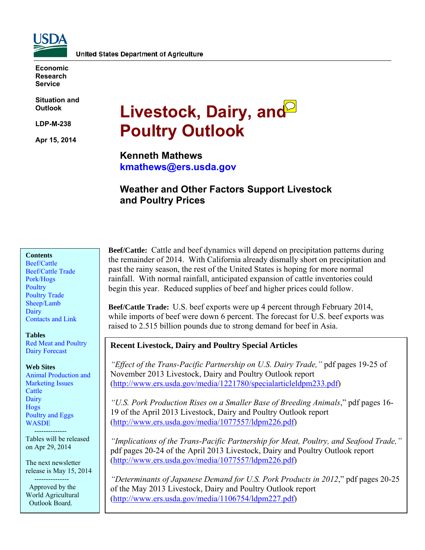

**Economic Research Service** 

**Situation and Outlook** 

**LDP-M-238** 

**Apr 15, 2014** 

# Livestock, Dairy, and<sup>2</sup> **Poultry Outlook**

**Kenneth Mathews kmathews@ers.usda.gov** 

## **Weather and Other Factors Support Livestock and Poultry Prices**

#### **Contents**

[Beef/Cattle](#page-2-0)  [Beef/Cattle Trade](#page-4-0)  [Pork/Hogs](#page-6-0)  **Poultry** [Poultry Trade](#page-11-0)  [Sheep/Lamb](#page-13-0)  **Dairy** [Contacts and Link](#page-15-0) 

#### **Tables**

[Red Meat and Poultry](#page-16-0)  [Dairy Forecast](#page-17-0) 

#### **Web Sites**

[Animal Production and](http://www.ers.usda.gov/topics/animal-products/animal-production-marketing-issues.aspx)  Marketing Issues **Cattle** [Dairy](http://www.ers.usda.gov/topics/animal-products/dairy.aspx)  [Hogs](http://www.ers.usda.gov/topics/animal-products/hogs-pork.aspx)  [Poultry and Eggs](http://www.ers.usda.gov/topics/animal-products/poultry-eggs.aspx)  [WASDE](http://usda.mannlib.cornell.edu/MannUsda/viewDocumentInfo.do?documentID=1194) 

 -------------- Tables will be released on Apr 29, 2014

The next newsletter release is May 15, 2014

 --------------- Approved by the World Agricultural Outlook Board.

**Beef/Cattle:** Cattle and beef dynamics will depend on precipitation patterns during the remainder of 2014. With California already dismally short on precipitation and past the rainy season, the rest of the United States is hoping for more normal rainfall. With normal rainfall, anticipated expansion of cattle inventories could begin this year. Reduced supplies of beef and higher prices could follow.

**Beef/Cattle Trade:** U.S. beef exports were up 4 percent through February 2014, while imports of beef were down 6 percent. The forecast for U.S. beef exports was raised to 2.515 billion pounds due to strong demand for beef in Asia.

#### **Recent Livestock, Dairy and Poultry Special Articles**

*"Effect of the Trans-Pacific Partnership on U.S. Dairy Trade,"* pdf pages 19-25 of November 2013 Livestock, Dairy and Poultry Outlook report (http://www.ers.usda.gov/media/1221780/specialarticleldpm233.pdf)

*"U.S. Pork Production Rises on a Smaller Base of Breeding Animals*," pdf pages 16- 19 of the April 2013 Livestock, Dairy and Poultry Outlook report (http://www.ers.usda.gov/media/1077557/ldpm226.pdf)

*"Implications of the Trans-Pacific Partnership for Meat, Poultry, and Seafood Trade,"* pdf pages 20-24 of the April 2013 Livestock, Dairy and Poultry Outlook report (http://www.ers.usda.gov/media/1077557/ldpm226.pdf)

*"Determinants of Japanese Demand for U.S. Pork Products in 2012*," pdf pages 20-25 of the May 2013 Livestock, Dairy and Poultry Outlook report (http://www.ers.usda.gov/media/1106754/ldpm227.pdf)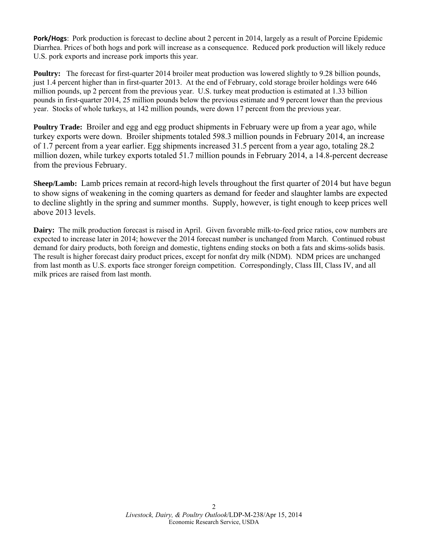**Pork/Hogs**: Pork production is forecast to decline about 2 percent in 2014, largely as a result of Porcine Epidemic Diarrhea. Prices of both hogs and pork will increase as a consequence. Reduced pork production will likely reduce U.S. pork exports and increase pork imports this year.

**Poultry:** The forecast for first-quarter 2014 broiler meat production was lowered slightly to 9.28 billion pounds, just 1.4 percent higher than in first-quarter 2013. At the end of February, cold storage broiler holdings were 646 million pounds, up 2 percent from the previous year. U.S. turkey meat production is estimated at 1.33 billion pounds in first-quarter 2014, 25 million pounds below the previous estimate and 9 percent lower than the previous year. Stocks of whole turkeys, at 142 million pounds, were down 17 percent from the previous year.

**Poultry Trade:** Broiler and egg and egg product shipments in February were up from a year ago, while turkey exports were down. Broiler shipments totaled 598.3 million pounds in February 2014, an increase of 1.7 percent from a year earlier. Egg shipments increased 31.5 percent from a year ago, totaling 28.2 million dozen, while turkey exports totaled 51.7 million pounds in February 2014, a 14.8-percent decrease from the previous February.

**Sheep/Lamb:** Lamb prices remain at record-high levels throughout the first quarter of 2014 but have begun to show signs of weakening in the coming quarters as demand for feeder and slaughter lambs are expected to decline slightly in the spring and summer months. Supply, however, is tight enough to keep prices well above 2013 levels.

**Dairy:** The milk production forecast is raised in April. Given favorable milk-to-feed price ratios, cow numbers are expected to increase later in 2014; however the 2014 forecast number is unchanged from March. Continued robust demand for dairy products, both foreign and domestic, tightens ending stocks on both a fats and skims-solids basis. The result is higher forecast dairy product prices, except for nonfat dry milk (NDM). NDM prices are unchanged from last month as U.S. exports face stronger foreign competition. Correspondingly, Class III, Class IV, and all milk prices are raised from last month.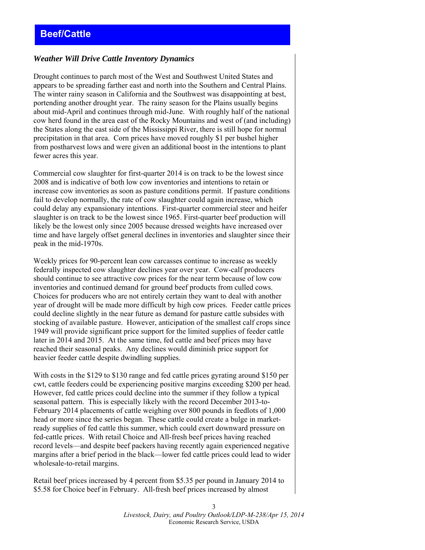## <span id="page-2-0"></span>*Weather Will Drive Cattle Inventory Dynamics*

Drought continues to parch most of the West and Southwest United States and appears to be spreading farther east and north into the Southern and Central Plains. The winter rainy season in California and the Southwest was disappointing at best, portending another drought year. The rainy season for the Plains usually begins about mid-April and continues through mid-June. With roughly half of the national cow herd found in the area east of the Rocky Mountains and west of (and including) the States along the east side of the Mississippi River, there is still hope for normal precipitation in that area. Corn prices have moved roughly \$1 per bushel higher from postharvest lows and were given an additional boost in the intentions to plant fewer acres this year.

Commercial cow slaughter for first-quarter 2014 is on track to be the lowest since 2008 and is indicative of both low cow inventories and intentions to retain or increase cow inventories as soon as pasture conditions permit. If pasture conditions fail to develop normally, the rate of cow slaughter could again increase, which could delay any expansionary intentions. First-quarter commercial steer and heifer slaughter is on track to be the lowest since 1965. First-quarter beef production will likely be the lowest only since 2005 because dressed weights have increased over time and have largely offset general declines in inventories and slaughter since their peak in the mid-1970s.

Weekly prices for 90-percent lean cow carcasses continue to increase as weekly federally inspected cow slaughter declines year over year. Cow-calf producers should continue to see attractive cow prices for the near term because of low cow inventories and continued demand for ground beef products from culled cows. Choices for producers who are not entirely certain they want to deal with another year of drought will be made more difficult by high cow prices. Feeder cattle prices could decline slightly in the near future as demand for pasture cattle subsides with stocking of available pasture. However, anticipation of the smallest calf crops since 1949 will provide significant price support for the limited supplies of feeder cattle later in 2014 and 2015. At the same time, fed cattle and beef prices may have reached their seasonal peaks. Any declines would diminish price support for heavier feeder cattle despite dwindling supplies.

With costs in the \$129 to \$130 range and fed cattle prices gyrating around \$150 per cwt, cattle feeders could be experiencing positive margins exceeding \$200 per head. However, fed cattle prices could decline into the summer if they follow a typical seasonal pattern. This is especially likely with the record December 2013-to-February 2014 placements of cattle weighing over 800 pounds in feedlots of 1,000 head or more since the series began. These cattle could create a bulge in marketready supplies of fed cattle this summer, which could exert downward pressure on fed-cattle prices. With retail Choice and All-fresh beef prices having reached record levels—and despite beef packers having recently again experienced negative margins after a brief period in the black—lower fed cattle prices could lead to wider wholesale-to-retail margins.

Retail beef prices increased by 4 percent from \$5.35 per pound in January 2014 to \$5.58 for Choice beef in February. All-fresh beef prices increased by almost

> *Livestock, Dairy, and Poultry Outlook/LDP-M-238/Apr 15, 2014*  Economic Research Service, USDA

3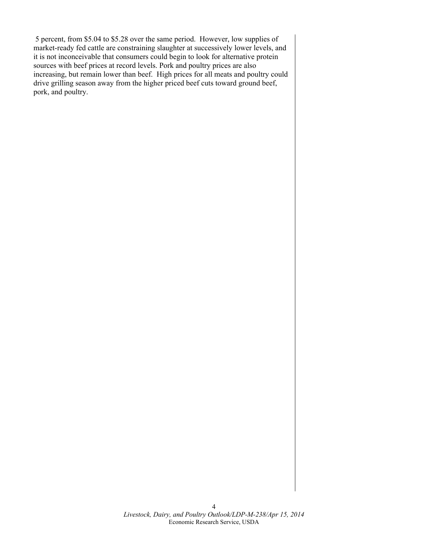5 percent, from \$5.04 to \$5.28 over the same period. However, low supplies of market-ready fed cattle are constraining slaughter at successively lower levels, and it is not inconceivable that consumers could begin to look for alternative protein sources with beef prices at record levels. Pork and poultry prices are also increasing, but remain lower than beef. High prices for all meats and poultry could drive grilling season away from the higher priced beef cuts toward ground beef, pork, and poultry.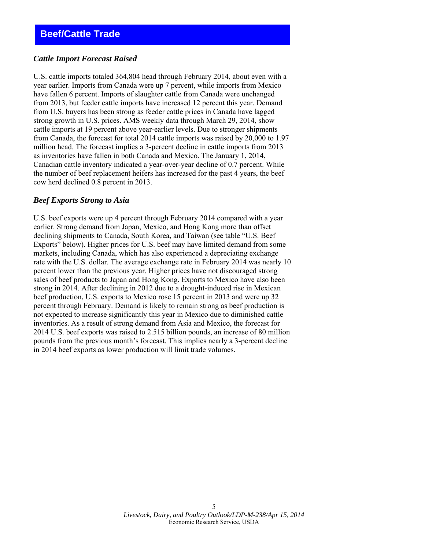#### <span id="page-4-0"></span>*Cattle Import Forecast Raised*

U.S. cattle imports totaled 364,804 head through February 2014, about even with a year earlier. Imports from Canada were up 7 percent, while imports from Mexico have fallen 6 percent. Imports of slaughter cattle from Canada were unchanged from 2013, but feeder cattle imports have increased 12 percent this year. Demand from U.S. buyers has been strong as feeder cattle prices in Canada have lagged strong growth in U.S. prices. AMS weekly data through March 29, 2014, show cattle imports at 19 percent above year-earlier levels. Due to stronger shipments from Canada, the forecast for total 2014 cattle imports was raised by 20,000 to 1.97 million head. The forecast implies a 3-percent decline in cattle imports from 2013 as inventories have fallen in both Canada and Mexico. The January 1, 2014, Canadian cattle inventory indicated a year-over-year decline of 0.7 percent. While the number of beef replacement heifers has increased for the past 4 years, the beef cow herd declined 0.8 percent in 2013.

#### *Beef Exports Strong to Asia*

U.S. beef exports were up 4 percent through February 2014 compared with a year earlier. Strong demand from Japan, Mexico, and Hong Kong more than offset declining shipments to Canada, South Korea, and Taiwan (see table "U.S. Beef Exports" below). Higher prices for U.S. beef may have limited demand from some markets, including Canada, which has also experienced a depreciating exchange rate with the U.S. dollar. The average exchange rate in February 2014 was nearly 10 percent lower than the previous year. Higher prices have not discouraged strong sales of beef products to Japan and Hong Kong. Exports to Mexico have also been strong in 2014. After declining in 2012 due to a drought-induced rise in Mexican beef production, U.S. exports to Mexico rose 15 percent in 2013 and were up 32 percent through February. Demand is likely to remain strong as beef production is not expected to increase significantly this year in Mexico due to diminished cattle inventories. As a result of strong demand from Asia and Mexico, the forecast for 2014 U.S. beef exports was raised to 2.515 billion pounds, an increase of 80 million pounds from the previous month's forecast. This implies nearly a 3-percent decline in 2014 beef exports as lower production will limit trade volumes.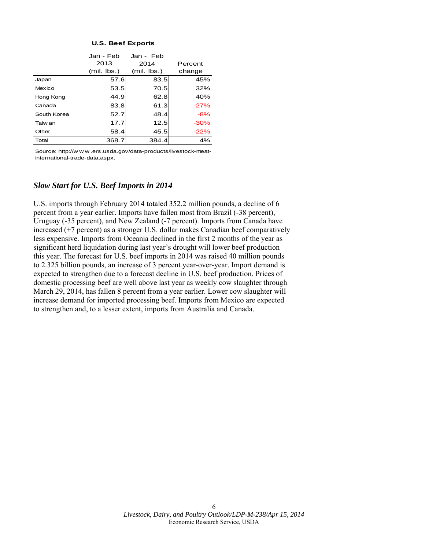#### **U.S. Beef Exports**

|             | Jan - Feb     | Jan - Feb     |         |  |  |
|-------------|---------------|---------------|---------|--|--|
|             | 2013          | 2014          | Percent |  |  |
|             | $(mil.$ lbs.) | $(mil.$ lbs.) | change  |  |  |
| Japan       | 57.6          | 83.5          | 45%     |  |  |
| Mexico      | 53.5          | 70.5          | 32%     |  |  |
| Hong Kong   | 44.9          | 62.8          | 40%     |  |  |
| Canada      | 83.8          | 61.3          | $-27%$  |  |  |
| South Korea | 52.7          | 48.4          | $-8%$   |  |  |
| Taiw an     | 17.7          | 12.5          | $-30%$  |  |  |
| Other       | 58.4          | 45.5          | $-22\%$ |  |  |
| Total       | 368.7         | 384.4         | 4%      |  |  |

Source: http://w w w .ers.usda.gov/data-products/livestock-meatinternational-trade-data.aspx.

#### *Slow Start for U.S. Beef Imports in 2014*

U.S. imports through February 2014 totaled 352.2 million pounds, a decline of 6 percent from a year earlier. Imports have fallen most from Brazil (-38 percent), Uruguay (-35 percent), and New Zealand (-7 percent). Imports from Canada have increased (+7 percent) as a stronger U.S. dollar makes Canadian beef comparatively less expensive. Imports from Oceania declined in the first 2 months of the year as significant herd liquidation during last year's drought will lower beef production this year. The forecast for U.S. beef imports in 2014 was raised 40 million pounds to 2.325 billion pounds, an increase of 3 percent year-over-year. Import demand is expected to strengthen due to a forecast decline in U.S. beef production. Prices of domestic processing beef are well above last year as weekly cow slaughter through March 29, 2014, has fallen 8 percent from a year earlier. Lower cow slaughter will increase demand for imported processing beef. Imports from Mexico are expected to strengthen and, to a lesser extent, imports from Australia and Canada.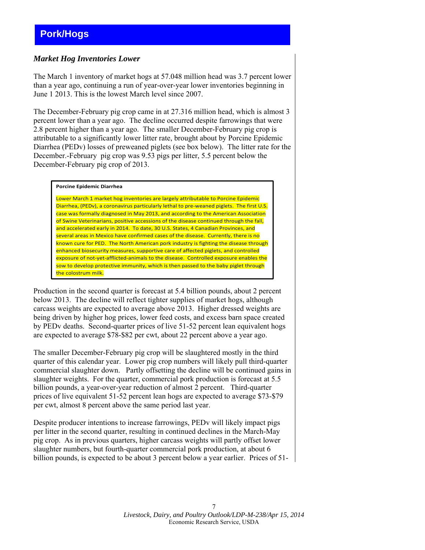## <span id="page-6-0"></span>*Market Hog Inventories Lower*

The March 1 inventory of market hogs at 57.048 million head was 3.7 percent lower than a year ago, continuing a run of year-over-year lower inventories beginning in June 1 2013. This is the lowest March level since 2007.

The December-February pig crop came in at 27.316 million head, which is almost 3 percent lower than a year ago. The decline occurred despite farrowings that were 2.8 percent higher than a year ago. The smaller December-February pig crop is attributable to a significantly lower litter rate, brought about by Porcine Epidemic Diarrhea (PEDv) losses of preweaned piglets (see box below). The litter rate for the December.-February pig crop was 9.53 pigs per litter, 5.5 percent below the December-February pig crop of 2013.

#### **Porcine Epidemic Diarrhea**

Lower March 1 market hog inventories are largely attributable to Porcine Epidemic Diarrhea, (PEDv), a coronavirus particularly lethal to pre-weaned piglets. The first U.S. case was formally diagnosed in May 2013, and according to the American Association of Swine Veterinarians, positive accessions of the disease continued through the fall, and accelerated early in 2014. To date, 30 U.S. States, 4 Canadian Provinces, and several areas in Mexico have confirmed cases of the disease. Currently, there is no known cure for PED. The North American pork industry is fighting the disease through enhanced biosecurity measures, supportive care of affected piglets, and controlled exposure of not‐yet‐afflicted‐animals to the disease. Controlled exposure enables the sow to develop protective immunity, which is then passed to the baby piglet through the colostrum milk.

Production in the second quarter is forecast at 5.4 billion pounds, about 2 percent below 2013. The decline will reflect tighter supplies of market hogs, although carcass weights are expected to average above 2013. Higher dressed weights are being driven by higher hog prices, lower feed costs, and excess barn space created by PEDv deaths. Second-quarter prices of live 51-52 percent lean equivalent hogs are expected to average \$78-\$82 per cwt, about 22 percent above a year ago.

The smaller December-February pig crop will be slaughtered mostly in the third quarter of this calendar year. Lower pig crop numbers will likely pull third-quarter commercial slaughter down. Partly offsetting the decline will be continued gains in slaughter weights. For the quarter, commercial pork production is forecast at 5.5 billion pounds, a year-over-year reduction of almost 2 percent. Third-quarter prices of live equivalent 51-52 percent lean hogs are expected to average \$73-\$79 per cwt, almost 8 percent above the same period last year.

Despite producer intentions to increase farrowings, PEDv will likely impact pigs per litter in the second quarter, resulting in continued declines in the March-May pig crop. As in previous quarters, higher carcass weights will partly offset lower slaughter numbers, but fourth-quarter commercial pork production, at about 6 billion pounds, is expected to be about 3 percent below a year earlier. Prices of 51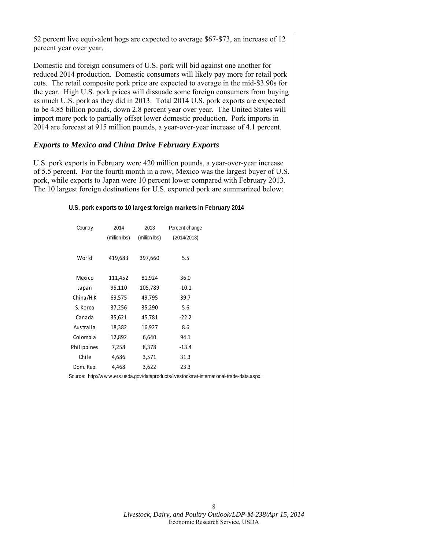52 percent live equivalent hogs are expected to average \$67-\$73, an increase of 12 percent year over year.

Domestic and foreign consumers of U.S. pork will bid against one another for reduced 2014 production. Domestic consumers will likely pay more for retail pork cuts. The retail composite pork price are expected to average in the mid-\$3.90s for the year. High U.S. pork prices will dissuade some foreign consumers from buying as much U.S. pork as they did in 2013. Total 2014 U.S. pork exports are expected to be 4.85 billion pounds, down 2.8 percent year over year. The United States will import more pork to partially offset lower domestic production. Pork imports in 2014 are forecast at 915 million pounds, a year-over-year increase of 4.1 percent.

#### *Exports to Mexico and China Drive February Exports*

U.S. pork exports in February were 420 million pounds, a year-over-year increase of 5.5 percent. For the fourth month in a row, Mexico was the largest buyer of U.S. pork, while exports to Japan were 10 percent lower compared with February 2013. The 10 largest foreign destinations for U.S. exported pork are summarized below:

#### **U.S. pork exports to 10 largest foreign markets in February 2014**

| Country     | 2014          | 2013          | Percent change |  |  |  |  |  |
|-------------|---------------|---------------|----------------|--|--|--|--|--|
|             | (million lbs) | (million lbs) | (2014/2013)    |  |  |  |  |  |
|             |               |               |                |  |  |  |  |  |
| World       | 419,683       | 397,660       | 5.5            |  |  |  |  |  |
|             |               |               |                |  |  |  |  |  |
| Mexico      | 111,452       | 81,924        | 36.0           |  |  |  |  |  |
| Japan       | 95,110        | 105,789       | $-10.1$        |  |  |  |  |  |
| China/H.K   | 69,575        | 49,795        | 39.7           |  |  |  |  |  |
| S. Korea    | 37,256        | 35,290        | 5.6            |  |  |  |  |  |
| Canada      | 35,621        | 45,781        | $-22.2$        |  |  |  |  |  |
| Australia   | 18,382        | 16,927        | 8.6            |  |  |  |  |  |
| Colombia    | 12,892        | 6,640         | 94.1           |  |  |  |  |  |
| Philippines | 7,258         | 8,378         | $-13.4$        |  |  |  |  |  |
| Chile       | 4,686         | 3,571         | 31.3           |  |  |  |  |  |
| Dom. Rep.   | 4,468         | 3,622         | 23.3           |  |  |  |  |  |

Source: http://w w w .ers.usda.gov/dataproducts/livestockmat-international-trade-data.aspx.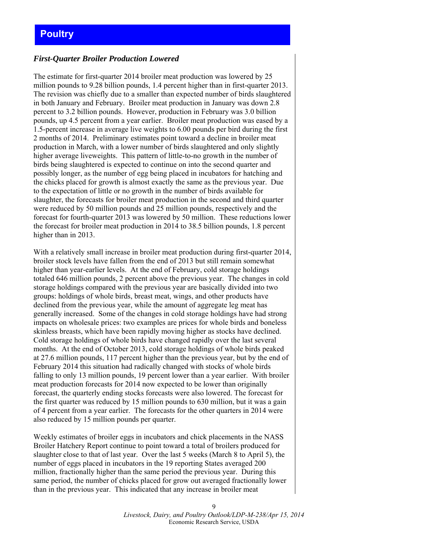## <span id="page-8-0"></span>*First-Quarter Broiler Production Lowered*

The estimate for first-quarter 2014 broiler meat production was lowered by 25 million pounds to 9.28 billion pounds, 1.4 percent higher than in first-quarter 2013. The revision was chiefly due to a smaller than expected number of birds slaughtered in both January and February. Broiler meat production in January was down 2.8 percent to 3.2 billion pounds. However, production in February was 3.0 billion pounds, up 4.5 percent from a year earlier. Broiler meat production was eased by a 1.5-percent increase in average live weights to 6.00 pounds per bird during the first 2 months of 2014. Preliminary estimates point toward a decline in broiler meat production in March, with a lower number of birds slaughtered and only slightly higher average liveweights. This pattern of little-to-no growth in the number of birds being slaughtered is expected to continue on into the second quarter and possibly longer, as the number of egg being placed in incubators for hatching and the chicks placed for growth is almost exactly the same as the previous year. Due to the expectation of little or no growth in the number of birds available for slaughter, the forecasts for broiler meat production in the second and third quarter were reduced by 50 million pounds and 25 million pounds, respectively and the forecast for fourth-quarter 2013 was lowered by 50 million. These reductions lower the forecast for broiler meat production in 2014 to 38.5 billion pounds, 1.8 percent higher than in 2013.

With a relatively small increase in broiler meat production during first-quarter 2014, broiler stock levels have fallen from the end of 2013 but still remain somewhat higher than year-earlier levels. At the end of February, cold storage holdings totaled 646 million pounds, 2 percent above the previous year. The changes in cold storage holdings compared with the previous year are basically divided into two groups: holdings of whole birds, breast meat, wings, and other products have declined from the previous year, while the amount of aggregate leg meat has generally increased. Some of the changes in cold storage holdings have had strong impacts on wholesale prices: two examples are prices for whole birds and boneless skinless breasts, which have been rapidly moving higher as stocks have declined. Cold storage holdings of whole birds have changed rapidly over the last several months. At the end of October 2013, cold storage holdings of whole birds peaked at 27.6 million pounds, 117 percent higher than the previous year, but by the end of February 2014 this situation had radically changed with stocks of whole birds falling to only 13 million pounds, 19 percent lower than a year earlier. With broiler meat production forecasts for 2014 now expected to be lower than originally forecast, the quarterly ending stocks forecasts were also lowered. The forecast for the first quarter was reduced by 15 million pounds to 630 million, but it was a gain of 4 percent from a year earlier. The forecasts for the other quarters in 2014 were also reduced by 15 million pounds per quarter.

Weekly estimates of broiler eggs in incubators and chick placements in the NASS Broiler Hatchery Report continue to point toward a total of broilers produced for slaughter close to that of last year. Over the last 5 weeks (March 8 to April 5), the number of eggs placed in incubators in the 19 reporting States averaged 200 million, fractionally higher than the same period the previous year. During this same period, the number of chicks placed for grow out averaged fractionally lower than in the previous year. This indicated that any increase in broiler meat

> $\overline{Q}$ *Livestock, Dairy, and Poultry Outlook/LDP-M-238/Apr 15, 2014*  Economic Research Service, USDA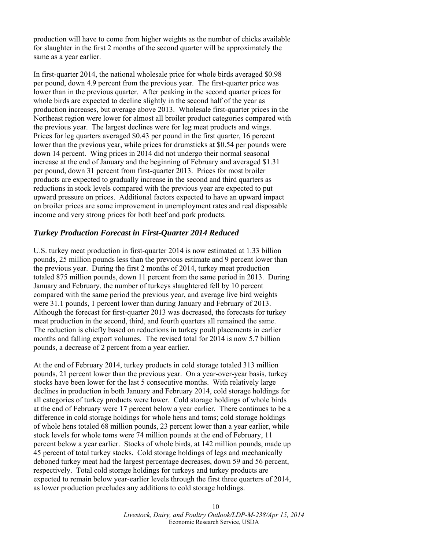production will have to come from higher weights as the number of chicks available for slaughter in the first 2 months of the second quarter will be approximately the same as a year earlier.

In first-quarter 2014, the national wholesale price for whole birds averaged \$0.98 per pound, down 4.9 percent from the previous year. The first-quarter price was lower than in the previous quarter. After peaking in the second quarter prices for whole birds are expected to decline slightly in the second half of the year as production increases, but average above 2013. Wholesale first-quarter prices in the Northeast region were lower for almost all broiler product categories compared with the previous year. The largest declines were for leg meat products and wings. Prices for leg quarters averaged \$0.43 per pound in the first quarter, 16 percent lower than the previous year, while prices for drumsticks at \$0.54 per pounds were down 14 percent. Wing prices in 2014 did not undergo their normal seasonal increase at the end of January and the beginning of February and averaged \$1.31 per pound, down 31 percent from first-quarter 2013. Prices for most broiler products are expected to gradually increase in the second and third quarters as reductions in stock levels compared with the previous year are expected to put upward pressure on prices. Additional factors expected to have an upward impact on broiler prices are some improvement in unemployment rates and real disposable income and very strong prices for both beef and pork products.

## *Turkey Production Forecast in First-Quarter 2014 Reduced*

U.S. turkey meat production in first-quarter 2014 is now estimated at 1.33 billion pounds, 25 million pounds less than the previous estimate and 9 percent lower than the previous year. During the first 2 months of 2014, turkey meat production totaled 875 million pounds, down 11 percent from the same period in 2013. During January and February, the number of turkeys slaughtered fell by 10 percent compared with the same period the previous year, and average live bird weights were 31.1 pounds, 1 percent lower than during January and February of 2013. Although the forecast for first-quarter 2013 was decreased, the forecasts for turkey meat production in the second, third, and fourth quarters all remained the same. The reduction is chiefly based on reductions in turkey poult placements in earlier months and falling export volumes. The revised total for 2014 is now 5.7 billion pounds, a decrease of 2 percent from a year earlier.

At the end of February 2014, turkey products in cold storage totaled 313 million pounds, 21 percent lower than the previous year. On a year-over-year basis, turkey stocks have been lower for the last 5 consecutive months. With relatively large declines in production in both January and February 2014, cold storage holdings for all categories of turkey products were lower. Cold storage holdings of whole birds at the end of February were 17 percent below a year earlier. There continues to be a difference in cold storage holdings for whole hens and toms; cold storage holdings of whole hens totaled 68 million pounds, 23 percent lower than a year earlier, while stock levels for whole toms were 74 million pounds at the end of February, 11 percent below a year earlier. Stocks of whole birds, at 142 million pounds, made up 45 percent of total turkey stocks. Cold storage holdings of legs and mechanically deboned turkey meat had the largest percentage decreases, down 59 and 56 percent, respectively. Total cold storage holdings for turkeys and turkey products are expected to remain below year-earlier levels through the first three quarters of 2014, as lower production precludes any additions to cold storage holdings.

> 10 *Livestock, Dairy, and Poultry Outlook/LDP-M-238/Apr 15, 2014*  Economic Research Service, USDA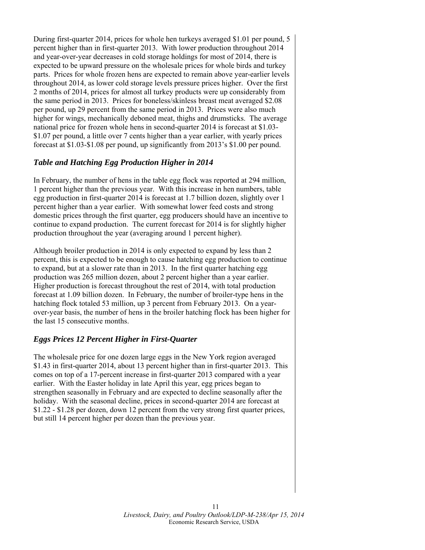During first-quarter 2014, prices for whole hen turkeys averaged \$1.01 per pound, 5 percent higher than in first-quarter 2013. With lower production throughout 2014 and year-over-year decreases in cold storage holdings for most of 2014, there is expected to be upward pressure on the wholesale prices for whole birds and turkey parts. Prices for whole frozen hens are expected to remain above year-earlier levels throughout 2014, as lower cold storage levels pressure prices higher. Over the first 2 months of 2014, prices for almost all turkey products were up considerably from the same period in 2013. Prices for boneless/skinless breast meat averaged \$2.08 per pound, up 29 percent from the same period in 2013. Prices were also much higher for wings, mechanically deboned meat, thighs and drumsticks. The average national price for frozen whole hens in second-quarter 2014 is forecast at \$1.03- \$1.07 per pound, a little over 7 cents higher than a year earlier, with yearly prices forecast at \$1.03-\$1.08 per pound, up significantly from 2013's \$1.00 per pound.

## *Table and Hatching Egg Production Higher in 2014*

In February, the number of hens in the table egg flock was reported at 294 million, 1 percent higher than the previous year. With this increase in hen numbers, table egg production in first-quarter 2014 is forecast at 1.7 billion dozen, slightly over 1 percent higher than a year earlier. With somewhat lower feed costs and strong domestic prices through the first quarter, egg producers should have an incentive to continue to expand production. The current forecast for 2014 is for slightly higher production throughout the year (averaging around 1 percent higher).

Although broiler production in 2014 is only expected to expand by less than 2 percent, this is expected to be enough to cause hatching egg production to continue to expand, but at a slower rate than in 2013. In the first quarter hatching egg production was 265 million dozen, about 2 percent higher than a year earlier. Higher production is forecast throughout the rest of 2014, with total production forecast at 1.09 billion dozen. In February, the number of broiler-type hens in the hatching flock totaled 53 million, up 3 percent from February 2013. On a yearover-year basis, the number of hens in the broiler hatching flock has been higher for the last 15 consecutive months.

#### *Eggs Prices 12 Percent Higher in First-Quarter*

The wholesale price for one dozen large eggs in the New York region averaged \$1.43 in first-quarter 2014, about 13 percent higher than in first-quarter 2013. This comes on top of a 17-percent increase in first-quarter 2013 compared with a year earlier. With the Easter holiday in late April this year, egg prices began to strengthen seasonally in February and are expected to decline seasonally after the holiday. With the seasonal decline, prices in second-quarter 2014 are forecast at \$1.22 - \$1.28 per dozen, down 12 percent from the very strong first quarter prices, but still 14 percent higher per dozen than the previous year.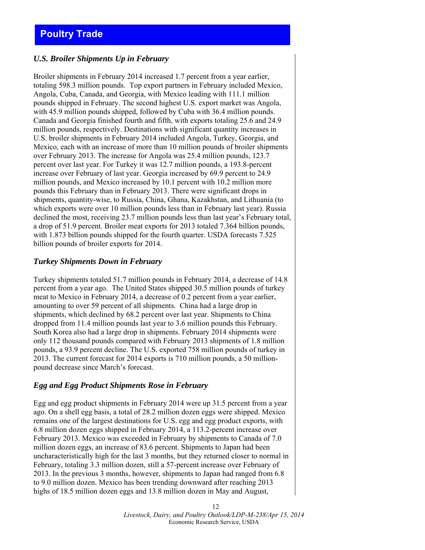# <span id="page-11-0"></span>**Poultry Trade**

## *U.S. Broiler Shipments Up in February*

Broiler shipments in February 2014 increased 1.7 percent from a year earlier, totaling 598.3 million pounds. Top export partners in February included Mexico, Angola, Cuba, Canada, and Georgia, with Mexico leading with 111.1 million pounds shipped in February. The second highest U.S. export market was Angola, with 45.9 million pounds shipped, followed by Cuba with 36.4 million pounds. Canada and Georgia finished fourth and fifth, with exports totaling 25.6 and 24.9 million pounds, respectively. Destinations with significant quantity increases in U.S. broiler shipments in February 2014 included Angola, Turkey, Georgia, and Mexico, each with an increase of more than 10 million pounds of broiler shipments over February 2013. The increase for Angola was 25.4 million pounds, 123.7 percent over last year. For Turkey it was 12.7 million pounds, a 193.8-percent increase over February of last year. Georgia increased by 69.9 percent to 24.9 million pounds, and Mexico increased by 10.1 percent with 10.2 million more pounds this February than in February 2013. There were significant drops in shipments, quantity-wise, to Russia, China, Ghana, Kazakhstan, and Lithuania (to which exports were over 10 million pounds less than in February last year). Russia declined the most, receiving 23.7 million pounds less than last year's February total, a drop of 51.9 percent. Broiler meat exports for 2013 totaled 7.364 billion pounds, with 1.873 billion pounds shipped for the fourth quarter. USDA forecasts 7.525 billion pounds of broiler exports for 2014.

## *Turkey Shipments Down in February*

Turkey shipments totaled 51.7 million pounds in February 2014, a decrease of 14.8 percent from a year ago. The United States shipped 30.5 million pounds of turkey meat to Mexico in February 2014, a decrease of 0.2 percent from a year earlier, amounting to over 59 percent of all shipments. China had a large drop in shipments, which declined by 68.2 percent over last year. Shipments to China dropped from 11.4 million pounds last year to 3.6 million pounds this February. South Korea also had a large drop in shipments. February 2014 shipments were only 112 thousand pounds compared with February 2013 shipments of 1.8 million pounds, a 93.9 percent decline. The U.S. exported 758 million pounds of turkey in 2013. The current forecast for 2014 exports is 710 million pounds, a 50 millionpound decrease since March's forecast.

#### *Egg and Egg Product Shipments Rose in February*

Egg and egg product shipments in February 2014 were up 31.5 percent from a year ago. On a shell egg basis, a total of 28.2 million dozen eggs were shipped. Mexico remains one of the largest destinations for U.S. egg and egg product exports, with 6.8 million dozen eggs shipped in February 2014, a 113.2-percent increase over February 2013. Mexico was exceeded in February by shipments to Canada of 7.0 million dozen eggs, an increase of 83.6 percent. Shipments to Japan had been uncharacteristically high for the last 3 months, but they returned closer to normal in February, totaling 3.3 million dozen, still a 57-percent increase over February of 2013. In the previous 3 months, however, shipments to Japan had ranged from 6.8 to 9.0 million dozen. Mexico has been trending downward after reaching 2013 highs of 18.5 million dozen eggs and 13.8 million dozen in May and August,

> 12 *Livestock, Dairy, and Poultry Outlook/LDP-M-238/Apr 15, 2014*  Economic Research Service, USDA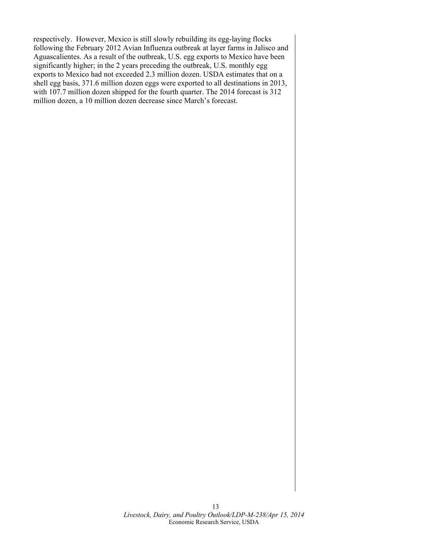respectively. However, Mexico is still slowly rebuilding its egg-laying flocks following the February 2012 Avian Influenza outbreak at layer farms in Jalisco and Aguascalientes. As a result of the outbreak, U.S. egg exports to Mexico have been significantly higher; in the 2 years preceding the outbreak, U.S. monthly egg exports to Mexico had not exceeded 2.3 million dozen. USDA estimates that on a shell egg basis, 371.6 million dozen eggs were exported to all destinations in 2013, with 107.7 million dozen shipped for the fourth quarter. The 2014 forecast is 312 million dozen, a 10 million dozen decrease since March's forecast.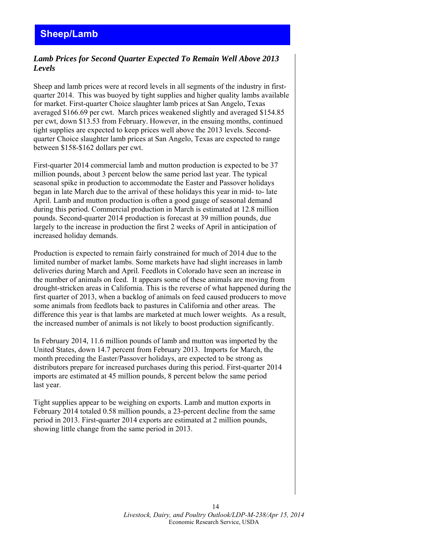## <span id="page-13-0"></span>*Lamb Prices for Second Quarter Expected To Remain Well Above 2013 Levels*

Sheep and lamb prices were at record levels in all segments of the industry in firstquarter 2014. This was buoyed by tight supplies and higher quality lambs available for market. First-quarter Choice slaughter lamb prices at San Angelo, Texas averaged \$166.69 per cwt. March prices weakened slightly and averaged \$154.85 per cwt, down \$13.53 from February. However, in the ensuing months, continued tight supplies are expected to keep prices well above the 2013 levels. Secondquarter Choice slaughter lamb prices at San Angelo, Texas are expected to range between \$158-\$162 dollars per cwt.

First-quarter 2014 commercial lamb and mutton production is expected to be 37 million pounds, about 3 percent below the same period last year. The typical seasonal spike in production to accommodate the Easter and Passover holidays began in late March due to the arrival of these holidays this year in mid- to- late April. Lamb and mutton production is often a good gauge of seasonal demand during this period. Commercial production in March is estimated at 12.8 million pounds. Second-quarter 2014 production is forecast at 39 million pounds, due largely to the increase in production the first 2 weeks of April in anticipation of increased holiday demands.

Production is expected to remain fairly constrained for much of 2014 due to the limited number of market lambs. Some markets have had slight increases in lamb deliveries during March and April. Feedlots in Colorado have seen an increase in the number of animals on feed. It appears some of these animals are moving from drought-stricken areas in California. This is the reverse of what happened during the first quarter of 2013, when a backlog of animals on feed caused producers to move some animals from feedlots back to pastures in California and other areas. The difference this year is that lambs are marketed at much lower weights. As a result, the increased number of animals is not likely to boost production significantly.

In February 2014, 11.6 million pounds of lamb and mutton was imported by the United States, down 14.7 percent from February 2013. Imports for March, the month preceding the Easter/Passover holidays, are expected to be strong as distributors prepare for increased purchases during this period. First-quarter 2014 imports are estimated at 45 million pounds, 8 percent below the same period last year.

Tight supplies appear to be weighing on exports. Lamb and mutton exports in February 2014 totaled 0.58 million pounds, a 23-percent decline from the same period in 2013. First-quarter 2014 exports are estimated at 2 million pounds, showing little change from the same period in 2013.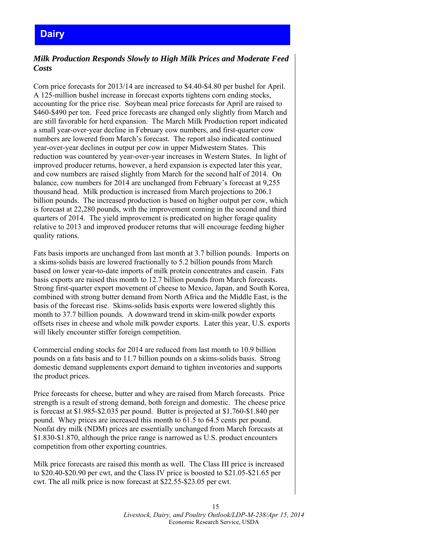## <span id="page-14-0"></span>*Milk Production Responds Slowly to High Milk Prices and Moderate Feed Costs*

Corn price forecasts for 2013/14 are increased to \$4.40-\$4.80 per bushel for April. A 125-million bushel increase in forecast exports tightens corn ending stocks, accounting for the price rise. Soybean meal price forecasts for April are raised to \$460-\$490 per ton. Feed price forecasts are changed only slightly from March and are still favorable for herd expansion. The March Milk Production report indicated a small year-over-year decline in February cow numbers, and first-quarter cow numbers are lowered from March's forecast. The report also indicated continued year-over-year declines in output per cow in upper Midwestern States. This reduction was countered by year-over-year increases in Western States. In light of improved producer returns, however, a herd expansion is expected later this year, and cow numbers are raised slightly from March for the second half of 2014. On balance, cow numbers for 2014 are unchanged from February's forecast at 9,255 thousand head. Milk production is increased from March projections to 206.1 billion pounds. The increased production is based on higher output per cow, which is forecast at 22,280 pounds, with the improvement coming in the second and third quarters of 2014. The yield improvement is predicated on higher forage quality relative to 2013 and improved producer returns that will encourage feeding higher quality rations.

Fats basis imports are unchanged from last month at 3.7 billion pounds. Imports on a skims-solids basis are lowered fractionally to 5.2 billion pounds from March based on lower year-to-date imports of milk protein concentrates and casein. Fats basis exports are raised this month to 12.7 billion pounds from March forecasts. Strong first-quarter export movement of cheese to Mexico, Japan, and South Korea, combined with strong butter demand from North Africa and the Middle East, is the basis of the forecast rise. Skims-solids basis exports were lowered slightly this month to 37.7 billion pounds. A downward trend in skim-milk powder exports offsets rises in cheese and whole milk powder exports. Later this year, U.S. exports will likely encounter stiffer foreign competition.

Commercial ending stocks for 2014 are reduced from last month to 10.9 billion pounds on a fats basis and to 11.7 billion pounds on a skims-solids basis. Strong domestic demand supplements export demand to tighten inventories and supports the product prices.

Price forecasts for cheese, butter and whey are raised from March forecasts. Price strength is a result of strong demand, both foreign and domestic. The cheese price is forecast at \$1.985-\$2.035 per pound. Butter is projected at \$1.760-\$1.840 per pound. Whey prices are increased this month to 61.5 to 64.5 cents per pound. Nonfat dry milk (NDM) prices are essentially unchanged from March forecasts at \$1.830-\$1.870, although the price range is narrowed as U.S. product encounters competition from other exporting countries.

Milk price forecasts are raised this month as well. The Class III price is increased to \$20.40-\$20.90 per cwt, and the Class IV price is boosted to \$21.05-\$21.65 per cwt. The all milk price is now forecast at \$22.55-\$23.05 per cwt.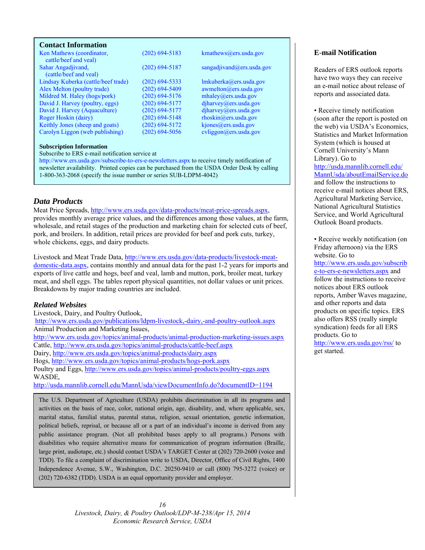#### <span id="page-15-0"></span>**Contact Information**

| Ken Mathews (coordinator,<br>cattle/beef and yeal) | $(202)$ 694-5183 | kmathews@ers.usda.gov                |
|----------------------------------------------------|------------------|--------------------------------------|
| Sahar Angadjivand,                                 | $(202)$ 694-5187 | sangadjivand@ers.usda.gov            |
| (cattle/beef and yeal)                             |                  |                                      |
| Lindsay Kuberka (cattle/beef trade)                | $(202)$ 694-5333 | lmkuberka@ers.usda.gov               |
| Alex Melton (poultry trade)                        | $(202)$ 694-5409 | $a$ wmelton $(a)$ ers.usda.gov       |
| Mildred M. Haley (hogs/pork)                       | $(202)$ 694-5176 | mhaley@ers.usda.gov                  |
| David J. Harvey (poultry, eggs)                    | $(202)$ 694-5177 | diharvey@ers.usda.gov                |
| David J. Harvey (Aquaculture)                      | $(202)$ 694-5177 | diharvey@ers.usda.gov                |
| Roger Hoskin (dairy)                               | $(202)$ 694-5148 | $r \text{hosh}(\omega)$ ers.usda.gov |
| Keithly Jones (sheep and goats)                    | $(202)$ 694-5172 | kjones@ers.usda.gov                  |
| Carolyn Liggon (web publishing)                    | $(202)$ 694-5056 | cvliggon@ers.usda.gov                |

#### **Subscription Information**

Subscribe to ERS e-mail notification service at

http://www.ers.usda.gov/subscribe-to-ers-e-newsletters.aspx to receive timely notification of newsletter availability. Printed copies can be purchased from the USDA Order Desk by calling 1-800-363-2068 (specify the issue number or series SUB-LDPM-4042)

## *Data Products*

Meat Price Spreads, http://www.ers.usda.gov/data-products/meat-price-spreads.aspx, provides monthly average price values, and the differences among those values, at the farm, wholesale, and retail stages of the production and marketing chain for selected cuts of beef, pork, and broilers. In addition, retail prices are provided for beef and pork cuts, turkey, whole chickens, eggs, and dairy products.

Livestock and Meat Trade Data, http://www.ers.usda.gov/data-products/livestock-meatdomestic-data.aspx, contains monthly and annual data for the past 1-2 years for imports and exports of live cattle and hogs, beef and veal, lamb and mutton, pork, broiler meat, turkey meat, and shell eggs. The tables report physical quantities, not dollar values or unit prices. Breakdowns by major trading countries are included.

#### *Related Websites*

Livestock, Dairy, and Poultry Outlook, http://www.ers.usda.gov/publications/ldpm-livestock,-dairy,-and-poultry-outlook.aspx Animal Production and Marketing Issues, http://www.ers.usda.gov/topics/animal-products/animal-production-marketing-issues.aspx Cattle, http://www.ers.usda.gov/topics/animal-products/cattle-beef.aspx Dairy, http://www.ers.usda.gov/topics/animal-products/dairy.aspx Hogs, http://www.ers.usda.gov/topics/animal-products/hogs-pork.aspx Poultry and Eggs, http://www.ers.usda.gov/topics/animal-products/poultry-eggs.aspx WASDE, http://usda.mannlib.cornell.edu/MannUsda/viewDocumentInfo.do?documentID=1194

The U.S. Department of Agriculture (USDA) prohibits discrimination in all its programs and activities on the basis of race, color, national origin, age, disability, and, where applicable, sex, marital status, familial status, parental status, religion, sexual orientation, genetic information, political beliefs, reprisal, or because all or a part of an individual's income is derived from any public assistance program. (Not all prohibited bases apply to all programs.) Persons with disabilities who require alternative means for communication of program information (Braille, large print, audiotape, etc.) should contact USDA's TARGET Center at (202) 720-2600 (voice and TDD). To file a complaint of discrimination write to USDA, Director, Office of Civil Rights, 1400 Independence Avenue, S.W., Washington, D.C. 20250-9410 or call (800) 795-3272 (voice) or (202) 720-6382 (TDD). USDA is an equal opportunity provider and employer.

#### **E**-**mail Notification**

Readers of ERS outlook reports have two ways they can receive an e-mail notice about release of reports and associated data.

• Receive timely notification (soon after the report is posted on the web) via USDA's Economics, Statistics and Market Information System (which is housed at Cornell University's Mann Library). Go to http://usda.mannlib.cornell.edu/ MannUsda/aboutEmailService.do and follow the instructions to receive e-mail notices about ERS, Agricultural Marketing Service, National Agricultural Statistics Service, and World Agricultural Outlook Board products.

• Receive weekly notification (on Friday afternoon) via the ERS website. Go to

http://www.ers.usda.gov/subscrib e-to-ers-e-newsletters.aspx and follow the instructions to receive notices about ERS outlook reports, Amber Waves magazine, and other reports and data products on specific topics. ERS also offers RSS (really simple syndication) feeds for all ERS products. Go to http://www.ers.usda.gov/rss/ to

get started.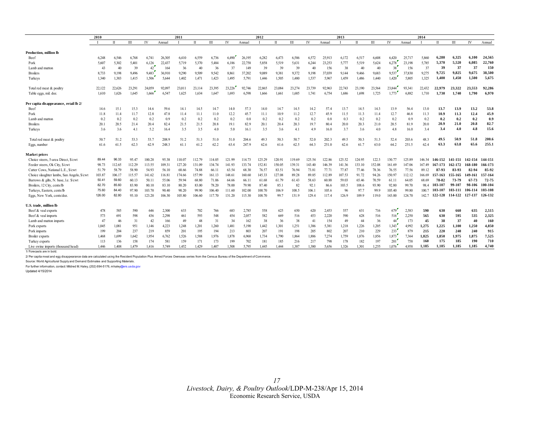<span id="page-16-0"></span>

|                                            | 2010   |             |        | 2011   |        |              |        | 2012   |        |        |              |        | 2013   |        |        |              |              | 2014   |        |        |        |              |                 |                 |         |
|--------------------------------------------|--------|-------------|--------|--------|--------|--------------|--------|--------|--------|--------|--------------|--------|--------|--------|--------|--------------|--------------|--------|--------|--------|--------|--------------|-----------------|-----------------|---------|
|                                            |        | $_{\rm II}$ | III    | IV     | Annual | $\mathbf{I}$ | П      | Ш      | IV     | Annual | $\mathbf{I}$ | Π      | Ш      | IV     | Annual | $\mathbf{I}$ | $\mathbf{H}$ | III    | IV     | Annual |        | $\mathbf{H}$ | Ш               | IV              | Annual  |
| Production, million lb                     |        |             |        |        |        |              |        |        |        |        |              |        |        |        |        |              |              |        |        |        |        |              |                 |                 |         |
| Beef                                       | 6.248  | 6.546       | 6.768  | 6.741  | 26,305 | 6,410        | 6,559  | 6,736  | 6,490  | 26,195 | 6,282        | 6,473  | 6,586  | 6.572  | 25,913 | 6,172        | 6,517        | 6.608  | 6,420  | 25,717 | 5,860  | 6.280        | 6,325           | 6.100           | 24,565  |
| Pork                                       | 5.607  | 5.302       | 5,401  | 6,126  | 22,437 | 5,719        | 5,370  | 5,484  | 6,186  | 22,758 | 5,858        | 5,519  | 5,631  | 6,244  | 23,253 | 5,777        | 5,519        | 5,624  | 6,278  | 23,198 | 5,785  | 5.370        | 5.520           | 6.085           | 22,760  |
| Lamb and mutton                            | 43     | 40          | 39     | 42     | 164    | 36           | 40     | 36     | 37     | 149    | 39           | 39     | 39     | 40     | 156    | 38           | 40           | 40     | 38     | 156    | 37     | 39           | 37              | 37              | 150     |
| <b>Broilers</b>                            | 8.733  | 9,198       | 9,496  | 9.483  | 36,910 | 9,290        | 9.509  | 9.542  | 8.861  | 37,202 | 9,089        | 9,381  | 9.372  | 9,198  | 37.039 | 9,144        | 9,466        | 9,683  | 9,537  | 37.830 | 9,275  | 9,725        | 9,825           | 9,675           | 38,500  |
| Turkeys                                    | 1.340  | 1.383       | 1,415  | 1,506  | 5,644  | 1.402        | 1,471  | 1,423  | 1,495  | 5,791  | 1,446        | 1,505  | 1.480  | 1,537  | 5.967  | 1,459        | 1,486        | 1.440  | 1,420  | 5,805  | 1,325  | 1,400        | 1,450           | 1.500           | 5.675   |
| Total red meat & poultry                   | 22.122 | 22,626      | 23,291 | 24,059 | 92,097 | 23.011       | 23,114 | 23.395 | 23,226 | 92,746 | 22,865       | 23,084 | 23.274 | 23.739 | 92.963 | 22,743       | 23,190       | 23,564 | 23,844 | 93.341 | 22.432 | 22.979       | 23.322          | 23.553          | 92,286  |
| Table eggs, mil. doz                       | 1.610  | 1,626       | 1.645  | 1.666  | 6.547  | 1.625        | 1.634  | 1.647  | 1.693  | 6.598  | 1.666        | 1,661  | 1.685  | 1,741  | 6,754  | 1.686        | 1,698        | 1,725  | 1,773  | 6.882  | 1.710  | 1,730        | 1.740           | 1.790           | 6.970   |
| Per capita disappearance, retail lb 2/     |        |             |        |        |        |              |        |        |        |        |              |        |        |        |        |              |              |        |        |        |        |              |                 |                 |         |
| Beef                                       | 14.6   | 15.1        | 15.3   | 14.6   | 59.6   | 14.1         | 14.5   | 14.7   | 14.0   | 57.3   | 14.0         | 14.7   | 14.5   | 14.2   | 57.4   | 13.7         | 14.5         | 14.3   | 13.9   | 56.4   | 13.0   | 13.7         | 13.9            | 13.2            | 53.8    |
| Pork                                       | 11.8   | 11.4        | 11.7   | 12.8   | 47.8   | 11.4         | 11.1   | 11.0   | 12.2   | 45.7   | 11.1         | 10.9   | 11.2   | 12.7   | 45.9   | 11.5         | 11.3         | 11.4   | 12.7   | 46.8   | 11.3   | 10.9         | 11.3            | 12.4            | 45.9    |
| Lamb and mutton                            | 0.2    | 0.2         | 0.2    | 0.2    | 0.9    | 0.2          | 0.2    | 0.2    | 0.2    | 0.8    | 0.2          | 0.2    | 0.2    | 0.2    | 0.8    | 0.3          | 0.2          | 0.2    | 0.2    | 0.9    | 0.2    | 0.2          | 0.2             | 0.2             | 0.9     |
| <b>Broilers</b>                            | 20.1   | 20.5        | 21.4   | 20.4   | 82.4   | 21.5         | 21.5   | 20.8   | 19.1   | 82.9   | 20.1         | 20.4   | 20.3   | 19.7   | 80.4   | 20.0         | 20.3         | 21.0   | 20.5   | 81.9   | 20.0   | 20.9         | 21.0            | 20.8            | 82.7    |
| Turkeys                                    | 3.6    | 3.6         | 4.1    | 5.2    | 16.4   | 3.5          | 3.5    | 4.0    | 5.0    | 16.1   | 3.5          | 3.6    | 4.1    | 4.9    | 16.0   | 3.7          | 3.6          | 4.0    | 4.8    | 16.0   | 3.4    | 3.4          | 4.0             | 4.8             | 15.6    |
| Total red meat & poultry                   | 50.7   | 51.2        | 53.3   | 53.7   | 208.9  | 51.2         | 51.3   | 51.0   | 51.0   | 204.6  | 49.3         | 50.3   | 50.7   | 52.0   | 202.3  | 49.5         | 50.3         | 51.3   | 52.4   | 203.6  | 48.3   | 49.5         | 50.9            | 51.8            | 200.6   |
| Eggs, number                               | 61.6   | 61.5        | 62.3   | 62.9   | 248.3  | 61.1         | 61.2   | 62.2   | 63.4   | 247.9  | 62.6         | 61.6   | 62.5   | 64.3   | 251.0  | 62.6         | 61.7         | 63.0   | 64.2   | 251.5  | 62.4   | 63.3         | 63.8            | 65.6            | 255.1   |
| <b>Market prices</b>                       |        |             |        |        |        |              |        |        |        |        |              |        |        |        |        |              |              |        |        |        |        |              |                 |                 |         |
| Choice steers, 5-area Direct, \$/cwt       | 89.44  | 96.33       | 95.47  | 100.28 | 95.38  | 110.07       | 112.79 | 114.05 | 121.99 | 114.73 | 125.29       | 120.91 | 119.69 | 125.54 | 122.86 | 125.52       | 124.95       | 122.3  | 130.77 | 125.89 | 146 34 | 146-152      | 141-151         | 142-154         | 144-151 |
| Feeder steers, Ok City, \$/cwt             | 98.73  | 112.65      | 112.29 | 113.55 | 109.31 | 127.20       | 131.09 | 134.74 | 141.93 | 133.74 | 152.81       | 150.05 | 139.31 | 143.40 | 146.39 | 141.36       | 133.10       | 152.08 | 161.69 | 147.06 | 167.49 | 167-173      | 162-172         | 168-180         | 166-173 |
| Cutter Cows, National L.E., \$/cwt         | 51.79  | 58.79       | 58.90  | 54.93  | 56.10  | 68.66        | 74.88  | 66.11  | 63.54  | 68.30  | 76.57        | 83.51  | 76.94  | 73.81  | 77.71  | 77.87        | 77.46        | 78.36  | 76.55  | 77.56  | 89.12  | 87-93        | 83-93           | 82-94           | 85-92   |
| Choice slaughter lambs, San Angelo, \$/cwt | 103.87 | 106.17      | 115.57 | 141.62 | 116.81 | 174.66       | 157.99 | 161.13 | 148.61 | 160.60 | 145.33       | 127.08 | 89.28  | 89.85  | 112.89 | 107.53       | 91.72        | 94.26  | 150.97 | 112.12 | 166.69 | 157-163      | 155-165         | 149-161         | 157-164 |
| Barrows & gilts, N. base, I.e. \$/cwt      | 50.41  | 59.60       | 60.13  | 50.11  | 55.06  | 59.94        | 68.80  | 71.06  | 64.66  | 66.11  | 61.68        | 61.79  | 61.43  | 58.63  | 60.88  | 59.03        | 65.46        | 70.59  | 61.11  | 64.05  | 68.69  | 78-82        | 73-79           | 67-73           | 72-75   |
| Broilers, 12 City, cents/lb                | 82.70  | 85.60       | 83.90  | 80.10  | 83.10  | 80.20        | 83.00  | 78.20  | 78.00  | 79.90  | 87.40        | 85.1   | 82     | 92.1   | 86.6   | 103.5        | 108.6        | 93.90  | 92.80  | 99.70  | 98.4   | 103-107      | 99-107          | 98-106          | 100-104 |
| Turkeys, Eastern, cents/lb                 | 75.60  | 84.40       | 97.90  | 103.70 | 90.40  | 90.20        | 99.90  | 106.40 | 111.60 | 102.00 | 100.70       | 106.9  | 108.5  | 106.   | 105.6  | 96           | 97.7         | 99.9   | 105.40 | 99.80  | 1007   | 103-107      | 103-111         | 106-114         | 103-108 |
| Eggs, New York, cents/doz.                 | 126.00 | 82.80       | 93.10  | 123.20 | 106.30 | 105.80       | 106.60 | 117.70 | 131.20 | 115.30 | 108.70       | 99.7   | 131.9  | 129.4  | 117.4  | 126.9        | 109.9        | 119.0  | 143.00 | 124.70 | 142.7  |              | 122-128 114-122 | 127-137 126-132 |         |
| U.S. trade, million lb                     |        |             |        |        |        |              |        |        |        |        |              |        |        |        |        |              |              |        |        |        |        |              |                 |                 |         |
| Beef & veal exports                        | 478    | 585         | 590    | 646    | 2,300  | 633          | 702    | 766    | 683    | 2,785  | 558          | 625    | 650    | 620    | 2,453  | 557          | 631          | 716    | 679    | 2,583  | 590    | 630          | 660             | 635             | 2,515   |
| Beef & veal imports                        | 573    | 691         | 598    | 436    | 2,298  | 461          | 593    | 548    | 454    | 2,057  | 582          | 669    | 516    | 453    | 2,220  | 590          | 628          | 516    | 516    | 2,250  | 565    | 630          | 595             | 535             | 2,325   |
| Lamb and mutton imports                    | 47     | 46          | 31     | 42     | 166    | 49           | 48     | 31     | 34     | 162    | 38           | 36     | 38     | 41     | 154    | 49           | 44           | 36     | 44     | 173    | 45     | 38           | 37              | 40              | 160     |
| Pork exports                               | 1.045  | 1.081       | 951    | 1,146  | 4,223  | 1,248        | 1,201  | 1,260  | 1,481  | 5.190  | 1,442        | 1,301  | 1,251  | 1,386  | 5.381  | 1,218        | 1,226        | 1,205  | 1.343  | 4.992  | 1,275  | 1,225        | 1,100           | 1,250           | 4,850   |
| Pork imports                               | 199    | 204         | 237    | 219    | 859    | 201          | 195    | 194    | 213    | 803    | 207          | 191    | 198    | 205    | 802    | 207          | 210          | 229    | 233    | 879    | 215    | 220          | 240             | 240             | 915     |
| Broiler exports                            | 1,468  | 1,699       | 1,642  | 1,954  | 6,762  | 1,526        | 1,588  | 1,976  | 1,878  | 6,968  | 1,734        | 1,790  | 1,864  | 1,886  | 7,274  | 1,759        | 1,876        | 1,856  | 1,873  | 7,364  | 1,825  | 1,850        | 1,975           | 1,875           | 7,525   |
| Turkey exports                             | 113    | 136         | 158    | 174    | 581    | 159          | 171    | 173    | 199    | 702    | 181          | 185    | 216    | 217    | 798    | 178          | 182          | 197    | 201    | 758    | 160    | 175          | 185             | 190             | 710     |
| Live swine imports (thousand head)         | 1.446  | 1.408       | 1.479  | 1.416  | 5.749  | 1.452        | 1.429  | 1.407  | 1.508  | 5.795  | 1.445        | 1.444  | 1.387  | 1.380  | 5.656  | 1.326        | 1.301        | 1.255  | 1.076  | 4.958  | 1.185  | 1.185        | 1.185           | 1.185           | 4.740   |
| 1/ Forecasts are in bold.                  |        |             |        |        |        |              |        |        |        |        |              |        |        |        |        |              |              |        |        |        |        |              |                 |                 |         |

2/ Per capita meat and egg disappearance data are calculated using the Resident Population Plus Armed Forces Overseas series from the Census Bureau of the Department of Commerce.

Source: World Agricultural Supply and Demand Estimates and Supporting Materials.

For further information, contact: Mildred M. Haley, (202) 694-5176, mhaley@ers.usda.gov

Updated 4/15/2014